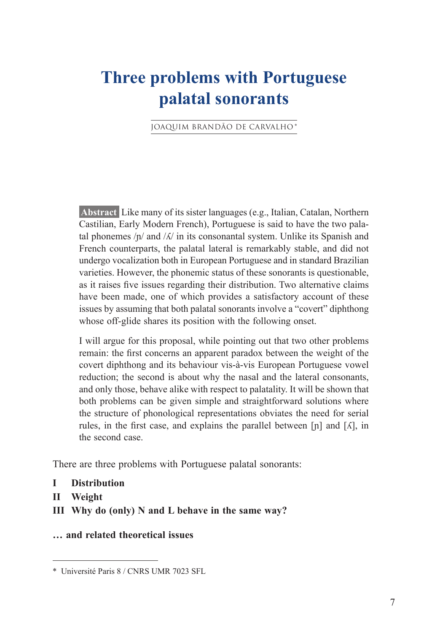# **Three problems with Portuguese palatal sonorants**

JOAQUIM BRANDÃO DE CARVALHO \*

**Abstract** Like many of its sister languages (e.g., Italian, Catalan, Northern Castilian, Early Modern French), Portuguese is said to have the two palatal phonemes  $\pi/$  and  $\pi/$  in its consonantal system. Unlike its Spanish and French counterparts, the palatal lateral is remarkably stable, and did not undergo vocalization both in European Portuguese and in standard Brazilian varieties. However, the phonemic status of these sonorants is questionable, as it raises five issues regarding their distribution. Two alternative claims have been made, one of which provides a satisfactory account of these issues by assuming that both palatal sonorants involve a "covert" diphthong whose off-glide shares its position with the following onset.

I will argue for this proposal, while pointing out that two other problems remain: the first concerns an apparent paradox between the weight of the covert diphthong and its behaviour vis-à-vis European Portuguese vowel reduction; the second is about why the nasal and the lateral consonants, and only those, behave alike with respect to palatality. It will be shown that both problems can be given simple and straightforward solutions where the structure of phonological representations obviates the need for serial rules, in the first case, and explains the parallel between  $[n]$  and  $[\Lambda]$ , in the second case.

There are three problems with Portuguese palatal sonorants:

- **I Distribution**
- **II Weight**
- **III Why do (only) N and L behave in the same way?**
- **… and related theoretical issues**

<sup>\*</sup> Université Paris 8 / CNRS UMR 7023 SFL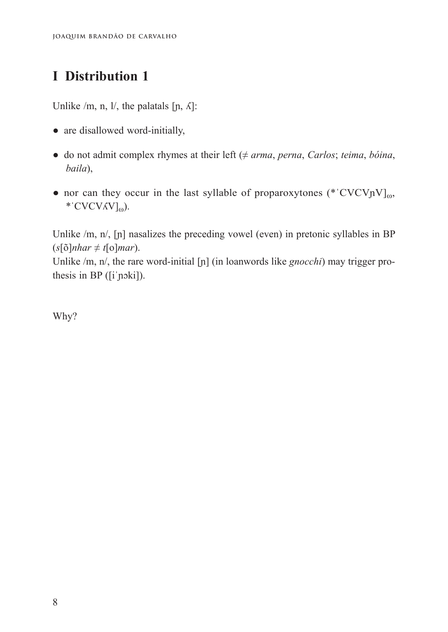Unlike /m, n, l/, the palatals  $[n, \Lambda]$ :

- are disallowed word-initially,
- $\bullet$  do not admit complex rhymes at their left ( $\neq \text{arma}$ , *perna*, *Carlos*; *teima*, *bóina*, *baila*),
- nor can they occur in the last syllable of proparoxytones (\*'CVCVnV] $_{0}$ , \* 'CVCV $\Lambda$ V]<sub>ω</sub>).

Unlike /m, n/, [n] nasalizes the preceding vowel (even) in pretonic syllables in BP  $(s[\delta]nhar \neq t[\delta]mar)$ .

Unlike /m, n/, the rare word-initial [n] (in loanwords like *gnocchi*) may trigger prothesis in BP ([iˈɲɔki]).

Why?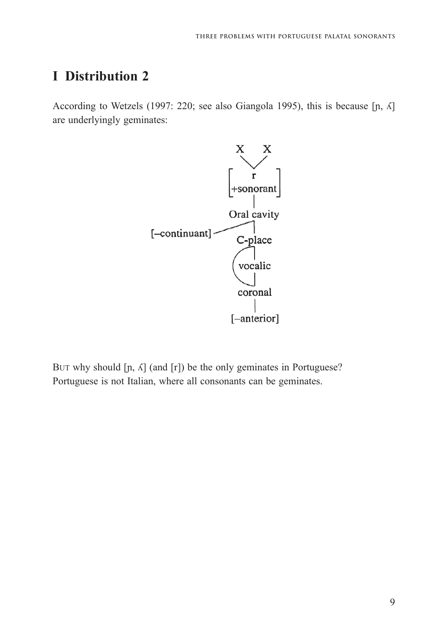According to Wetzels (1997: 220; see also Giangola 1995), this is because [ɲ, ʎ] are underlyingly geminates:



But why should  $[n, \Lambda]$  (and  $[r]$ ) be the only geminates in Portuguese? Portuguese is not Italian, where all consonants can be geminates.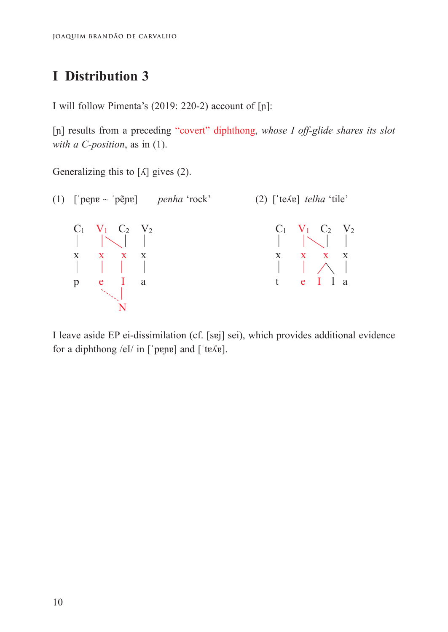I will follow Pimenta's (2019: 220-2) account of [ɲ]: I will follow Pimenta's (2019: 220-2) account of [ɲ]:

[ɲ] results from a preceding "covert" diphthong, *whose I off-glide shares its slot*  [ɲ] results from a preceding "covert" diphthong, *whose I off-glide shares its slot with a C-position*, as in (1). *with a C-position*, as in (1).

Generalizing this to [ʎ] gives (2). Generalizing this to [ʎ] gives (2).



for a diphthong /eI/ in [ˈpɐnɐ] and [ˈtɐʎɐ]. for a diphthong  $\mathbf{r}$  in  $\mathbf{r}$ I leave aside EP ei-dissimilation (cf. [sɐj] sei), which provides additional evidence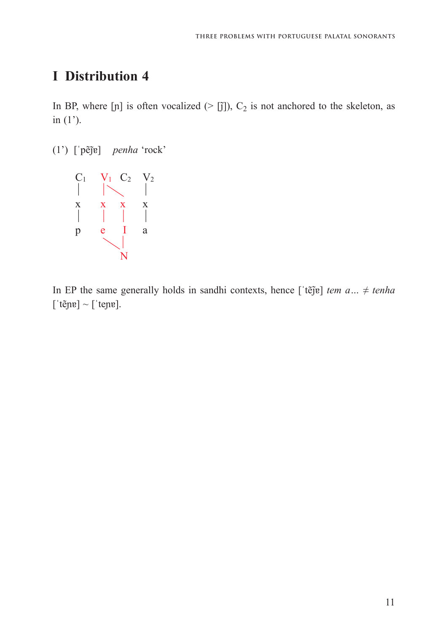In BP, where [p] is often vocalized ( $>$  [j̃]),  $C_2$  is not anchored to the skeleton, as in  $(1')$ .

(1') [ˈpẽjɐ]̃ *penha* 'rock' (1') [ˈpẽȷɐ] ̃ *penha* 'rock'



 $[$ 'tẽjnɐ] ~ ['tejnɐ]. In EP the same generally holds in sandhi contexts, hence [ˈtẽjɐ] ̃ *tem a…* ≠ *tenha*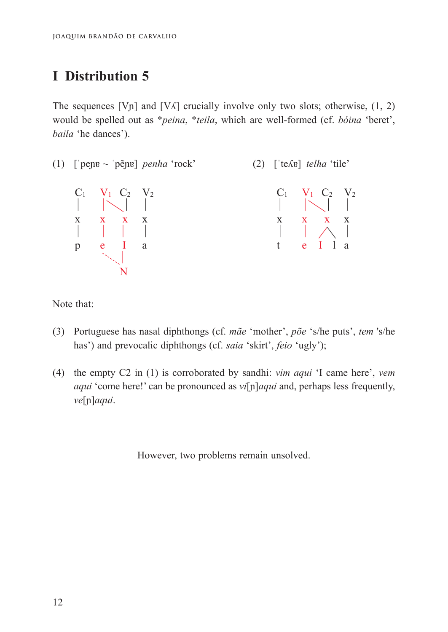The sequences [V<sub>II</sub>] and [V $\Lambda$ ] crucially involve only two slots; otherwise, (1, 2) would be spelled out as *\*peina*, *\*teila*, which are well-formed (cf. *bóina* 'beret', *baila* 'he dances').



Note that:

- $\overline{N}$ has') and prevocalic diphthongs (cf. *saia* 'skirt', *feio* 'ugly'); (3) Portuguese has nasal diphthongs (cf. *mãe* 'mother', *põe* 's/he puts', *tem* 's/he
- *aqui* 'come here!' can be pronounced as *vi*[n]*aqui* and, perhaps less frequently,  $\alpha$ <sup>[n]</sup>*aqui*. (4) the empty C2 in (1) is corroborated by sandhi: *vim aqui* 'I came here', *vem*

However, two problems remain unsolved.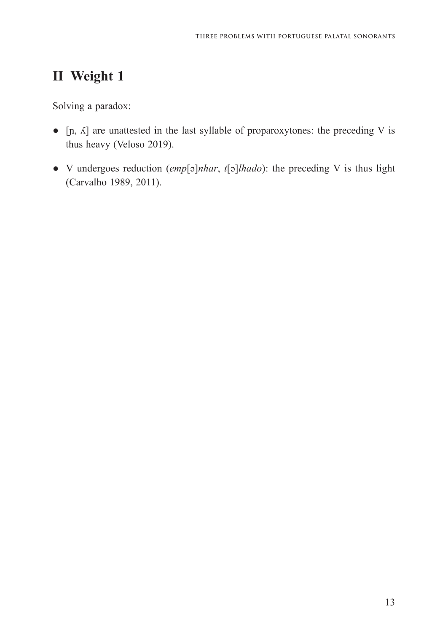Solving a paradox:

- [ɲ, ʎ] are unattested in the last syllable of proparoxytones: the preceding V is thus heavy (Veloso 2019).
- V undergoes reduction (*emp*[ə]*nhar*, *t*[ə]*lhado*): the preceding V is thus light (Carvalho 1989, 2011).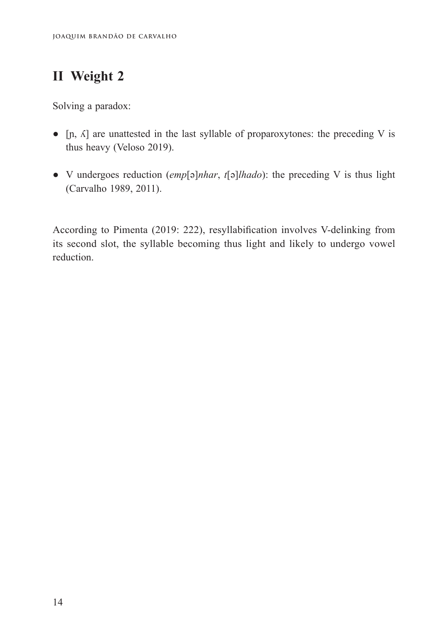Solving a paradox:

- $\bullet$  [n,  $\Lambda$ ] are unattested in the last syllable of proparoxytones: the preceding V is thus heavy (Veloso 2019).
- V undergoes reduction (*emp*[ə]*nhar*, *t*[ə]*lhado*): the preceding V is thus light (Carvalho 1989, 2011).

According to Pimenta (2019: 222), resyllabification involves V-delinking from its second slot, the syllable becoming thus light and likely to undergo vowel reduction.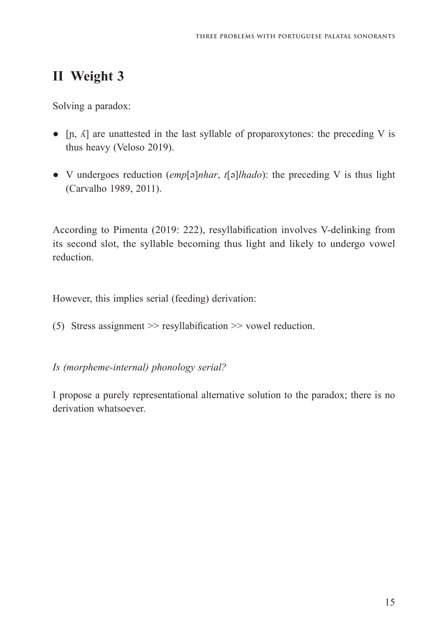Solving a paradox:

- $\bullet$  [n,  $\Lambda$ ] are unattested in the last syllable of proparoxytones: the preceding V is thus heavy (Veloso 2019).
- V undergoes reduction (*emp*[ə]*nhar*, *t*[ə]*lhado*): the preceding V is thus light (Carvalho 1989, 2011).

According to Pimenta (2019: 222), resyllabification involves V-delinking from its second slot, the syllable becoming thus light and likely to undergo vowel reduction.

However, this implies serial (feeding) derivation:

(5) Stress assignment >> resyllabification >> vowel reduction.

*Is (morpheme-internal) phonology serial?*

I propose a purely representational alternative solution to the paradox; there is no derivation whatsoever.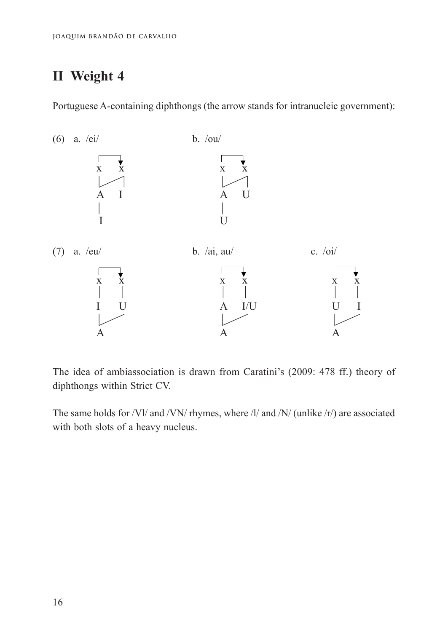Portuguese A-containing diphthongs (the arrow stands for intranucleic government): government):  $P$  -containing diphthongs (the arrow stands for intranucleic intranucleic intranucleic intranucleic intranucleic intranucleic intranucleic intranucleic intranucleic intranucleic intranucleic intranucleic intranucleic int Portuguese /



The idea of ambiassociation is drawn from Caratini's (2009: 478 ff.) theory of diphthongs within Strict CV. diphthongs within Strict CV. diphthongs within Strict CV.

 $T$  same in the same  $\begin{pmatrix} 1 & 1 & 1 & 0 \\ 0 & 0 & 1 & 1 \end{pmatrix}$  and  $\begin{pmatrix} 0 & 1 & 1 & 0 \\ 0 & 1 & 0 & 1 \end{pmatrix}$  are  $T$ The same holds for  $/vt$  and  $/vt$  myines, where The same holds for /Vl/ and /VN/ rhymes, where /l/ and /N/ (unlike /r/) are associated with both slots of a heavy nucleus.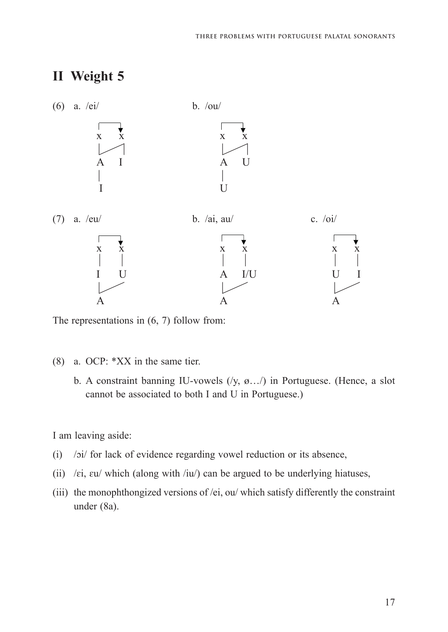

The representations in (6, 7) follow from:

- (8) a. OCP: \*XX in the same tier.
- b. A constraint banning IU-vowels  $(y, \emptyset, ...)$  in Portuguese. (Hence, a slot cannot be associated to both I and U in Portuguese.)  $\overline{c}$

I am leaving aside: I am leaving aside: I am leaving aside:

- (i) /ɔi/ for lack of evidence regarding vowel reduction or its absence, (i)  $\cdots$  for lack of evidence  $\zeta$  is absoning volume reduction or its absence, (i) /ɔi/ for lack of evidence regarding vowel reduction or its absence,
- (ii) / $\epsilon i$ ,  $\epsilon u$ / which (along with /iu/) can be argued to be underlying hiatuses,
- (iii) the monophthongized versions of /ei, ou/ which satisfy differently the constraint under (8a).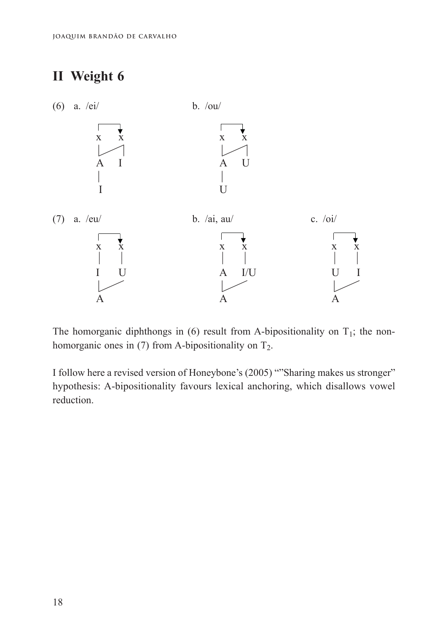### **II Weight 6 II Weight 6 II Weight 6**



The homorganic diphthongs in (6) result from A-bipositionality on  $T_1$ ; the nonhomorganic ones in (7) from A-bipositionality on  $T_2$ .

I follow here a revised version of Honeybone's (2005) ""Sharing makes us stronger" hypothesis: A-bipositionality favours lexical anchoring, which disallows vowel reduction.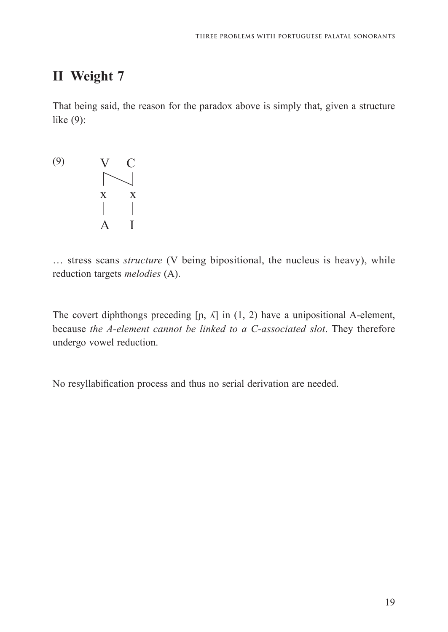That being said, the reason for the paradox above is simply that, given a structure That being said, the reason for the paradox above is simply that, given a structure like (9): like (9):

(9) (9) V C  $\sim$  x x A I

reduction targets *melodies* (A). reduction targets *melodies* (A). … stress scans *structure* (V being bipositional, the nucleus is heavy), while

because *the A-element cannot be linked to a C-associated slot*. They therefore undergo vowel reduction. The covert diphthongs preceding  $[n, \Lambda]$  in  $(1, 2)$  have a unipositional A-element,

No resyllabification process and thus no serial derivation are needed.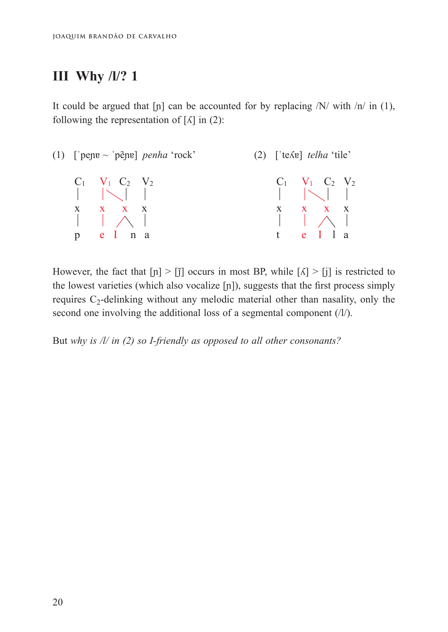It could be argued that  $[p]$  can be accounted for by replacing  $/N/$  with  $/n/$  in (1), following the representation of  $[A]$  in  $(2)$ :

| (1) ['pene $\sim$ 'pẽne] <i>penha</i> 'rock' |                                                              |  | $(2)$ ['te $\Lambda$ e] <i>telha</i> 'tile'                 |  |
|----------------------------------------------|--------------------------------------------------------------|--|-------------------------------------------------------------|--|
|                                              | $C_1$ $V_1$ $C_2$ $V_2$<br>$\vert \ \vert \ \vert \ \vert$   |  | $C_1$ $V_1$ $C_2$ $V_2$<br>$\  \cdot \  \times \  \cdot \ $ |  |
|                                              | $X$ $X$ $X$ $X$<br>$\vert \vert \wedge \vert$<br>$p$ e I n a |  | $X \t X \t X$<br>$\vert \vert \wedge \vert$<br>t e I l a    |  |

However, the fact that  $[n] > [j]$  occurs in most BP, while  $[\Lambda] > [j]$  is restricted to the lowest varieties (which also vocalize [ɲ]), suggests that the first process simply the lowest varieties (which also vocalize [ɲ]), suggests that the first process simply requires  $C_2$ -delinking without any melodic material other than nasality, only the second one involving the additional loss of a segmental component (/l/). second one involving the additional loss of a segmental component (/l/).

But *why is /l/ in (2) so I-friendly as opposed to all other consonants?*  But *why is /l/ in (2) so I-friendly as opposed to all other consonants?*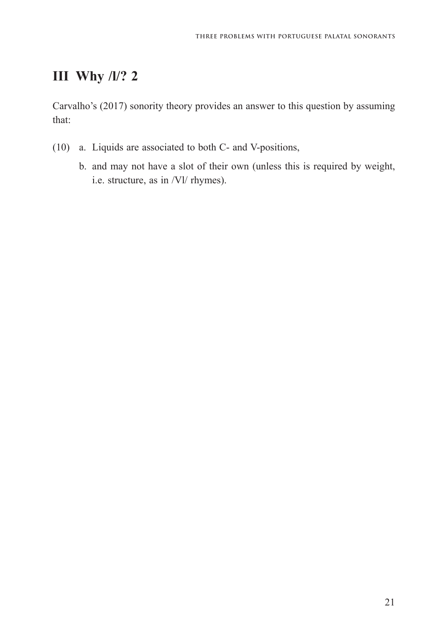Carvalho's (2017) sonority theory provides an answer to this question by assuming that:

- (10) a. Liquids are associated to both C- and V-positions,
	- b. and may not have a slot of their own (unless this is required by weight, i.e. structure, as in /Vl/ rhymes).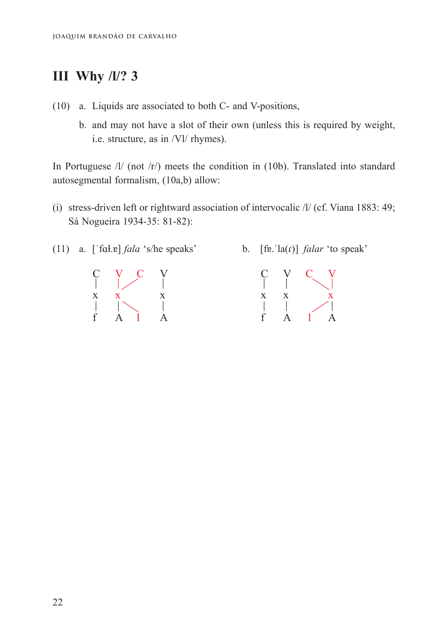- (10) a. Liquids are associated to both C- and V-positions, (10) a. Liquids are associated to both C- and V-positions,
- b. and may not have a slot of their own (unless this is required by weight, i.e. structure, as in /Vl/ rhymes).

In Portuguese /l/ (not /r/) meets the condition in (10b). Translated into standard In Portuguese /l/ (not /r/) meets the condition in (10b). Translated into standard autosegmental formalism, (10a,b) allow: autosegmental formalism, (10a,b) allow:

- (i) stress-driven left or rightward association of intervocalic /l/ (cf. Viana 1883: 49; (i) stress-driven left or rightward association of intervocalic /l/ (cf. Viana 1883: Sá Nogueira 1934-35: 81-82):
- (11) a. [ˈfɑɫ.ɐ] *fala* 's/he speaks' b. [fɐ.ˈla(ɾ)] *falar* 'to speak' (11) a. [ˈfɑɫ.ɐ] *fala* 's/he speaks' b. [fɐ.ˈla(ɾ)] *falar* 'to speak'



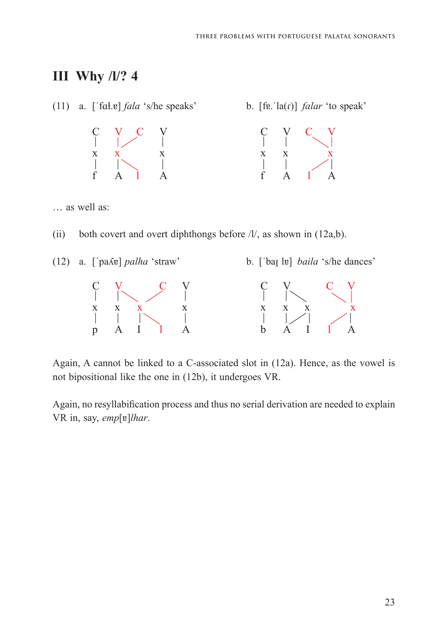

Again, A cannot be linked to a C-associated slot in  $(12a)$ . Hence, as the vowel is not bipositional like the one in (12b), it undergoes VR.

Again, no resyllabification process and thus no serial derivation are needed to explain explain, say, *emp*[ɐ]*lhar*. explain, say, *emp*[ɐ]*lhar*. VR in, say, *emp*[ɐ]*lhar*.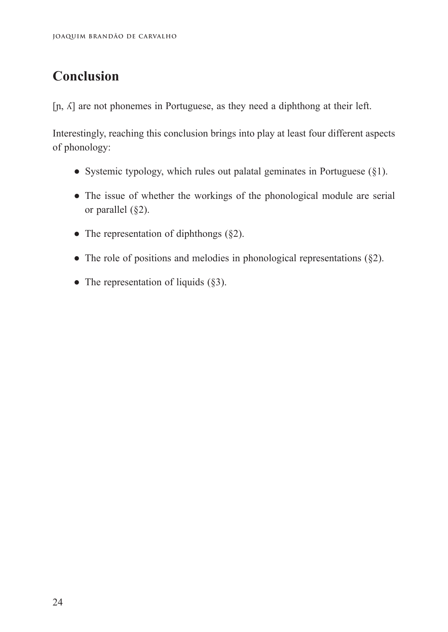### **Conclusion**

 $[n, \Delta]$  are not phonemes in Portuguese, as they need a diphthong at their left.

Interestingly, reaching this conclusion brings into play at least four different aspects of phonology:

- Systemic typology, which rules out palatal geminates in Portuguese  $(\S1)$ .
- The issue of whether the workings of the phonological module are serial or parallel (§2).
- The representation of diphthongs  $(\S 2)$ .
- The role of positions and melodies in phonological representations  $(\S 2)$ .
- The representation of liquids  $(\S 3)$ .